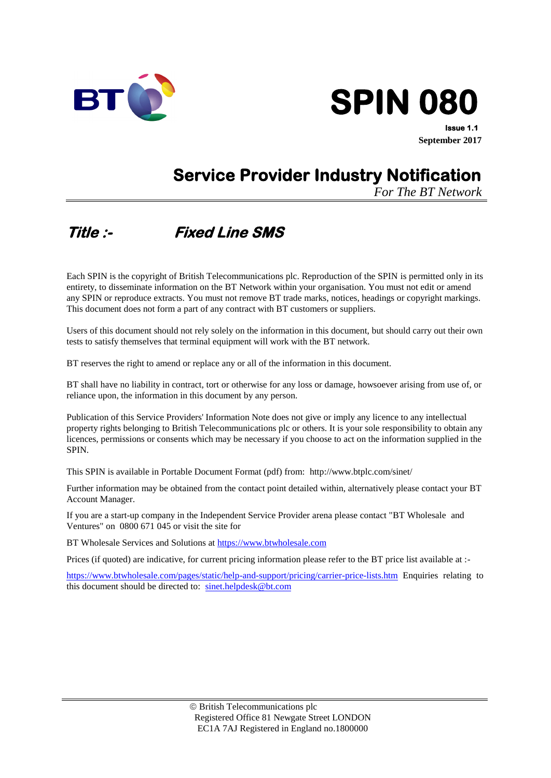



**Issue 1.1 September 2017**

# **Service Provider Industry Notification**

*For The BT Network*

# **Title :- Fixed Line SMS**

Each SPIN is the copyright of British Telecommunications plc. Reproduction of the SPIN is permitted only in its entirety, to disseminate information on the BT Network within your organisation. You must not edit or amend any SPIN or reproduce extracts. You must not remove BT trade marks, notices, headings or copyright markings. This document does not form a part of any contract with BT customers or suppliers.

Users of this document should not rely solely on the information in this document, but should carry out their own tests to satisfy themselves that terminal equipment will work with the BT network.

BT reserves the right to amend or replace any or all of the information in this document.

BT shall have no liability in contract, tort or otherwise for any loss or damage, howsoever arising from use of, or reliance upon, the information in this document by any person.

Publication of this Service Providers' Information Note does not give or imply any licence to any intellectual property rights belonging to British Telecommunications plc or others. It is your sole responsibility to obtain any licences, permissions or consents which may be necessary if you choose to act on the information supplied in the SPIN.

This SPIN is available in Portable Document Format (pdf) from: http://www.btplc.com/sinet/

Further information may be obtained from the contact point detailed within, alternatively please contact your BT Account Manager.

If you are a start-up company in the Independent Service Provider arena please contact "BT Wholesale and Ventures" on 0800 671 045 or visit the site for

BT Wholesale Services and Solutions at [https://www.btwholesale.com](https://www.btwholesale.com/)

Prices (if quoted) are indicative, for current pricing information please refer to the BT price list available at :-

<https://www.btwholesale.com/pages/static/help-and-support/pricing/carrier-price-lists.htm> Enquiries relating to this document should be directed to: [sinet.helpdesk@bt.com](mailto:sinet.helpdesk@bt.com)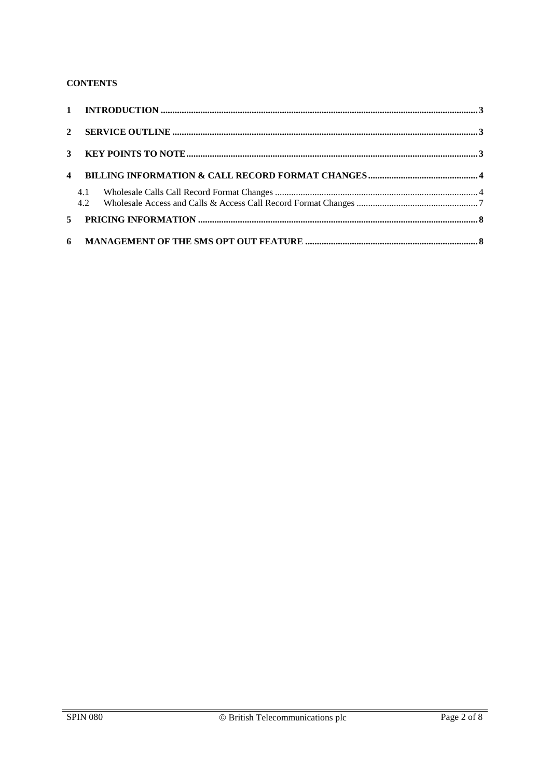#### **CONTENTS**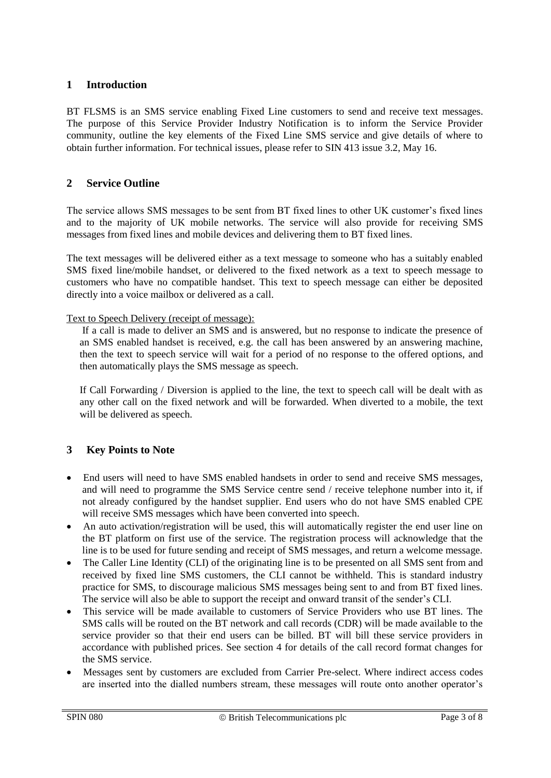# **1 Introduction**

BT FLSMS is an SMS service enabling Fixed Line customers to send and receive text messages. The purpose of this Service Provider Industry Notification is to inform the Service Provider community, outline the key elements of the Fixed Line SMS service and give details of where to obtain further information. For technical issues, please refer to SIN 413 issue 3.2, May 16.

# **2 Service Outline**

The service allows SMS messages to be sent from BT fixed lines to other UK customer's fixed lines and to the majority of UK mobile networks. The service will also provide for receiving SMS messages from fixed lines and mobile devices and delivering them to BT fixed lines.

The text messages will be delivered either as a text message to someone who has a suitably enabled SMS fixed line/mobile handset, or delivered to the fixed network as a text to speech message to customers who have no compatible handset. This text to speech message can either be deposited directly into a voice mailbox or delivered as a call.

#### Text to Speech Delivery (receipt of message):

If a call is made to deliver an SMS and is answered, but no response to indicate the presence of an SMS enabled handset is received, e.g. the call has been answered by an answering machine, then the text to speech service will wait for a period of no response to the offered options, and then automatically plays the SMS message as speech.

 If Call Forwarding / Diversion is applied to the line, the text to speech call will be dealt with as any other call on the fixed network and will be forwarded. When diverted to a mobile, the text will be delivered as speech.

# **3 Key Points to Note**

- End users will need to have SMS enabled handsets in order to send and receive SMS messages, and will need to programme the SMS Service centre send / receive telephone number into it, if not already configured by the handset supplier. End users who do not have SMS enabled CPE will receive SMS messages which have been converted into speech.
- An auto activation/registration will be used, this will automatically register the end user line on the BT platform on first use of the service. The registration process will acknowledge that the line is to be used for future sending and receipt of SMS messages, and return a welcome message.
- The Caller Line Identity (CLI) of the originating line is to be presented on all SMS sent from and received by fixed line SMS customers, the CLI cannot be withheld. This is standard industry practice for SMS, to discourage malicious SMS messages being sent to and from BT fixed lines. The service will also be able to support the receipt and onward transit of the sender's CLI.
- This service will be made available to customers of Service Providers who use BT lines. The SMS calls will be routed on the BT network and call records (CDR) will be made available to the service provider so that their end users can be billed. BT will bill these service providers in accordance with published prices. See section 4 for details of the call record format changes for the SMS service.
- Messages sent by customers are excluded from Carrier Pre-select. Where indirect access codes are inserted into the dialled numbers stream, these messages will route onto another operator's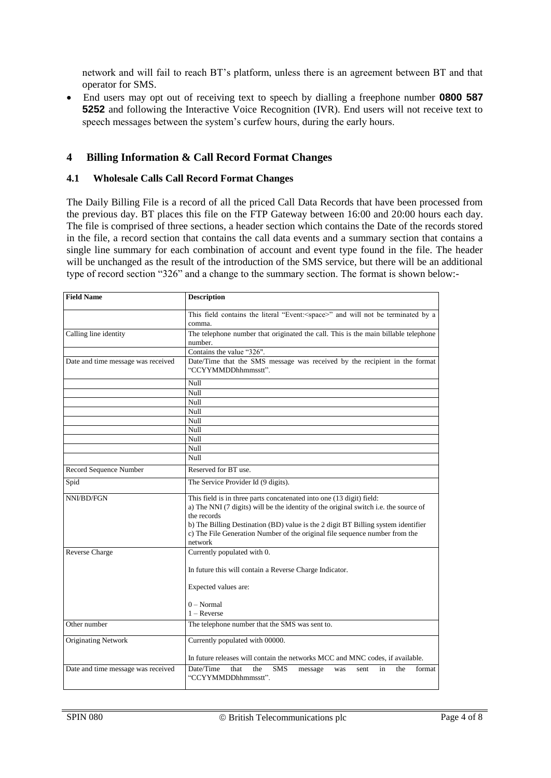network and will fail to reach BT's platform, unless there is an agreement between BT and that operator for SMS.

 End users may opt out of receiving text to speech by dialling a freephone number **0800 587 5252** and following the Interactive Voice Recognition (IVR). End users will not receive text to speech messages between the system's curfew hours, during the early hours.

#### **4 Billing Information & Call Record Format Changes**

#### **4.1 Wholesale Calls Call Record Format Changes**

The Daily Billing File is a record of all the priced Call Data Records that have been processed from the previous day. BT places this file on the FTP Gateway between 16:00 and 20:00 hours each day. The file is comprised of three sections, a header section which contains the Date of the records stored in the file, a record section that contains the call data events and a summary section that contains a single line summary for each combination of account and event type found in the file. The header will be unchanged as the result of the introduction of the SMS service, but there will be an additional type of record section "326" and a change to the summary section. The format is shown below:-

| <b>Field Name</b>                                                                                                                   | <b>Description</b>                                                                                                                                                                                                                                                                                                                                         |  |  |  |
|-------------------------------------------------------------------------------------------------------------------------------------|------------------------------------------------------------------------------------------------------------------------------------------------------------------------------------------------------------------------------------------------------------------------------------------------------------------------------------------------------------|--|--|--|
|                                                                                                                                     | This field contains the literal "Event: <space>" and will not be terminated by a<br/>comma.</space>                                                                                                                                                                                                                                                        |  |  |  |
| Calling line identity                                                                                                               | The telephone number that originated the call. This is the main billable telephone<br>number.                                                                                                                                                                                                                                                              |  |  |  |
|                                                                                                                                     | Contains the value "326".                                                                                                                                                                                                                                                                                                                                  |  |  |  |
| Date and time message was received                                                                                                  | Date/Time that the SMS message was received by the recipient in the format<br>"CCYYMMDDhhmmsstt".                                                                                                                                                                                                                                                          |  |  |  |
|                                                                                                                                     | Null                                                                                                                                                                                                                                                                                                                                                       |  |  |  |
|                                                                                                                                     | Null                                                                                                                                                                                                                                                                                                                                                       |  |  |  |
|                                                                                                                                     | Null                                                                                                                                                                                                                                                                                                                                                       |  |  |  |
|                                                                                                                                     | Null                                                                                                                                                                                                                                                                                                                                                       |  |  |  |
|                                                                                                                                     | Null                                                                                                                                                                                                                                                                                                                                                       |  |  |  |
|                                                                                                                                     | Null                                                                                                                                                                                                                                                                                                                                                       |  |  |  |
|                                                                                                                                     | Null                                                                                                                                                                                                                                                                                                                                                       |  |  |  |
|                                                                                                                                     | Null                                                                                                                                                                                                                                                                                                                                                       |  |  |  |
|                                                                                                                                     | Null                                                                                                                                                                                                                                                                                                                                                       |  |  |  |
| Record Sequence Number                                                                                                              | Reserved for BT use.                                                                                                                                                                                                                                                                                                                                       |  |  |  |
| Spid                                                                                                                                | The Service Provider Id (9 digits).                                                                                                                                                                                                                                                                                                                        |  |  |  |
| NNI/BD/FGN                                                                                                                          | This field is in three parts concatenated into one (13 digit) field:<br>a) The NNI (7 digits) will be the identity of the original switch i.e. the source of<br>the records<br>b) The Billing Destination (BD) value is the 2 digit BT Billing system identifier<br>c) The File Generation Number of the original file sequence number from the<br>network |  |  |  |
| Reverse Charge                                                                                                                      | Currently populated with 0.                                                                                                                                                                                                                                                                                                                                |  |  |  |
|                                                                                                                                     | In future this will contain a Reverse Charge Indicator.                                                                                                                                                                                                                                                                                                    |  |  |  |
|                                                                                                                                     | Expected values are:                                                                                                                                                                                                                                                                                                                                       |  |  |  |
|                                                                                                                                     | $0 - Normal$                                                                                                                                                                                                                                                                                                                                               |  |  |  |
|                                                                                                                                     | $1 -$ Reverse                                                                                                                                                                                                                                                                                                                                              |  |  |  |
| Other number                                                                                                                        | The telephone number that the SMS was sent to.                                                                                                                                                                                                                                                                                                             |  |  |  |
| <b>Originating Network</b>                                                                                                          | Currently populated with 00000.                                                                                                                                                                                                                                                                                                                            |  |  |  |
|                                                                                                                                     | In future releases will contain the networks MCC and MNC codes, if available.<br>the<br>format                                                                                                                                                                                                                                                             |  |  |  |
| Date and time message was received<br>Date/Time<br>that<br>the<br><b>SMS</b><br>in<br>message<br>was<br>sent<br>"CCYYMMDDhhmmsstt". |                                                                                                                                                                                                                                                                                                                                                            |  |  |  |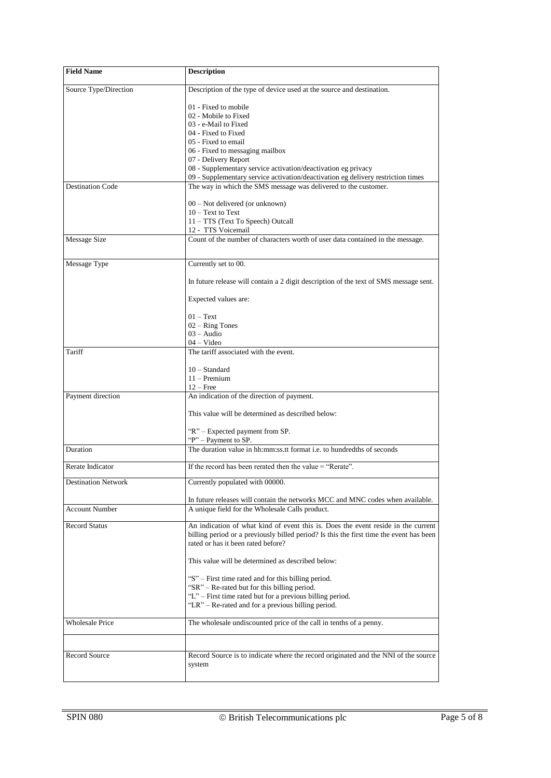| <b>Field Name</b>          | <b>Description</b>                                                                                                                                  |  |  |  |
|----------------------------|-----------------------------------------------------------------------------------------------------------------------------------------------------|--|--|--|
| Source Type/Direction      | Description of the type of device used at the source and destination.                                                                               |  |  |  |
|                            | 01 - Fixed to mobile                                                                                                                                |  |  |  |
|                            | 02 - Mobile to Fixed                                                                                                                                |  |  |  |
|                            | 03 - e-Mail to Fixed                                                                                                                                |  |  |  |
|                            | 04 - Fixed to Fixed                                                                                                                                 |  |  |  |
|                            | 05 - Fixed to email                                                                                                                                 |  |  |  |
|                            | 06 - Fixed to messaging mailbox                                                                                                                     |  |  |  |
|                            | 07 - Delivery Report                                                                                                                                |  |  |  |
|                            | 08 - Supplementary service activation/deactivation eg privacy                                                                                       |  |  |  |
| <b>Destination Code</b>    | 09 - Supplementary service activation/deactivation eg delivery restriction times<br>The way in which the SMS message was delivered to the customer. |  |  |  |
|                            |                                                                                                                                                     |  |  |  |
|                            | 00 - Not delivered (or unknown)                                                                                                                     |  |  |  |
|                            | $10 - Text$ to Text                                                                                                                                 |  |  |  |
|                            | 11 - TTS (Text To Speech) Outcall                                                                                                                   |  |  |  |
|                            | 12 - TTS Voicemail                                                                                                                                  |  |  |  |
| Message Size               | Count of the number of characters worth of user data contained in the message.                                                                      |  |  |  |
|                            |                                                                                                                                                     |  |  |  |
| Message Type               | Currently set to 00.                                                                                                                                |  |  |  |
|                            | In future release will contain a 2 digit description of the text of SMS message sent.                                                               |  |  |  |
|                            | Expected values are:                                                                                                                                |  |  |  |
|                            | $01 - Text$                                                                                                                                         |  |  |  |
|                            | $02 -$ Ring Tones                                                                                                                                   |  |  |  |
|                            | $03 - \text{Audio}$                                                                                                                                 |  |  |  |
|                            | 04 – Video                                                                                                                                          |  |  |  |
| Tariff                     | The tariff associated with the event.                                                                                                               |  |  |  |
|                            | $10 - Standard$                                                                                                                                     |  |  |  |
|                            | $11 -$ Premium                                                                                                                                      |  |  |  |
|                            | $12 -$ Free                                                                                                                                         |  |  |  |
| Payment direction          | An indication of the direction of payment.                                                                                                          |  |  |  |
|                            | This value will be determined as described below:                                                                                                   |  |  |  |
|                            |                                                                                                                                                     |  |  |  |
|                            | "R" – Expected payment from SP.                                                                                                                     |  |  |  |
|                            | "P" – Payment to SP.<br>The duration value in hh:mm:ss.tt format <i>i.e.</i> to hundredths of seconds                                               |  |  |  |
| Duration                   |                                                                                                                                                     |  |  |  |
| Rerate Indicator           | If the record has been rerated then the value $=$ "Rerate".                                                                                         |  |  |  |
| <b>Destination Network</b> | Currently populated with 00000.                                                                                                                     |  |  |  |
|                            | In future releases will contain the networks MCC and MNC codes when available.                                                                      |  |  |  |
| <b>Account Number</b>      | A unique field for the Wholesale Calls product.                                                                                                     |  |  |  |
| <b>Record Status</b>       | An indication of what kind of event this is. Does the event reside in the current                                                                   |  |  |  |
|                            | billing period or a previously billed period? Is this the first time the event has been                                                             |  |  |  |
|                            | rated or has it been rated before?                                                                                                                  |  |  |  |
|                            | This value will be determined as described below:                                                                                                   |  |  |  |
|                            |                                                                                                                                                     |  |  |  |
|                            | "S" – First time rated and for this billing period.                                                                                                 |  |  |  |
|                            | "SR" – Re-rated but for this billing period.<br>"L" – First time rated but for a previous billing period.                                           |  |  |  |
|                            | "LR" – Re-rated and for a previous billing period.                                                                                                  |  |  |  |
|                            |                                                                                                                                                     |  |  |  |
| <b>Wholesale Price</b>     | The wholesale undiscounted price of the call in tenths of a penny.                                                                                  |  |  |  |
|                            |                                                                                                                                                     |  |  |  |
| <b>Record Source</b>       | Record Source is to indicate where the record originated and the NNI of the source                                                                  |  |  |  |
|                            | system                                                                                                                                              |  |  |  |
|                            |                                                                                                                                                     |  |  |  |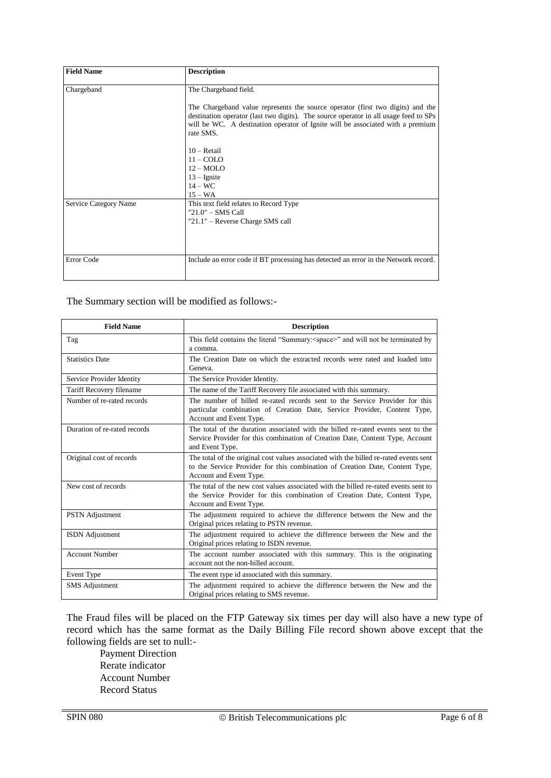| <b>Field Name</b>     | <b>Description</b>                                                                                                                                                                                                                                                    |
|-----------------------|-----------------------------------------------------------------------------------------------------------------------------------------------------------------------------------------------------------------------------------------------------------------------|
| Chargeband            | The Chargeband field.                                                                                                                                                                                                                                                 |
|                       | The Chargeband value represents the source operator (first two digits) and the<br>destination operator (last two digits). The source operator in all usage feed to SPs<br>will be WC. A destination operator of Ignite will be associated with a premium<br>rate SMS. |
|                       | $10 - \text{Retail}$                                                                                                                                                                                                                                                  |
|                       | $11 - COLO$                                                                                                                                                                                                                                                           |
|                       | $12 - MOLO$                                                                                                                                                                                                                                                           |
|                       | $13 -$ Ignite                                                                                                                                                                                                                                                         |
|                       | $14 - WC$                                                                                                                                                                                                                                                             |
|                       | $15 - WA$                                                                                                                                                                                                                                                             |
| Service Category Name | This text field relates to Record Type                                                                                                                                                                                                                                |
|                       | $"21.0" - SMS Call$                                                                                                                                                                                                                                                   |
|                       | "21.1" - Reverse Charge SMS call                                                                                                                                                                                                                                      |
|                       |                                                                                                                                                                                                                                                                       |
| Error Code            | Include an error code if BT processing has detected an error in the Network record.                                                                                                                                                                                   |

The Summary section will be modified as follows:-

| <b>Field Name</b>            | <b>Description</b>                                                                                                                                                                               |  |  |
|------------------------------|--------------------------------------------------------------------------------------------------------------------------------------------------------------------------------------------------|--|--|
| Tag                          | This field contains the literal "Summary: < space>" and will not be terminated by<br>a comma.                                                                                                    |  |  |
| <b>Statistics Date</b>       | The Creation Date on which the extracted records were rated and loaded into<br>Geneva.                                                                                                           |  |  |
| Service Provider Identity    | The Service Provider Identity.                                                                                                                                                                   |  |  |
| Tariff Recovery filename     | The name of the Tariff Recovery file associated with this summary.                                                                                                                               |  |  |
| Number of re-rated records   | The number of billed re-rated records sent to the Service Provider for this<br>particular combination of Creation Date, Service Provider, Content Type,<br>Account and Event Type.               |  |  |
| Duration of re-rated records | The total of the duration associated with the billed re-rated events sent to the<br>Service Provider for this combination of Creation Date, Content Type, Account<br>and Event Type.             |  |  |
| Original cost of records     | The total of the original cost values associated with the billed re-rated events sent<br>to the Service Provider for this combination of Creation Date, Content Type,<br>Account and Event Type. |  |  |
| New cost of records          | The total of the new cost values associated with the billed re-rated events sent to<br>the Service Provider for this combination of Creation Date, Content Type,<br>Account and Event Type.      |  |  |
| <b>PSTN</b> Adjustment       | The adjustment required to achieve the difference between the New and the<br>Original prices relating to PSTN revenue.                                                                           |  |  |
| <b>ISDN</b> Adjustment       | The adjustment required to achieve the difference between the New and the<br>Original prices relating to ISDN revenue.                                                                           |  |  |
| <b>Account Number</b>        | The account number associated with this summary. This is the originating<br>account not the non-billed account.                                                                                  |  |  |
| Event Type                   | The event type id associated with this summary.                                                                                                                                                  |  |  |
| <b>SMS</b> Adjustment        | The adjustment required to achieve the difference between the New and the<br>Original prices relating to SMS revenue.                                                                            |  |  |

The Fraud files will be placed on the FTP Gateway six times per day will also have a new type of record which has the same format as the Daily Billing File record shown above except that the following fields are set to null:-

Payment Direction Rerate indicator Account Number Record Status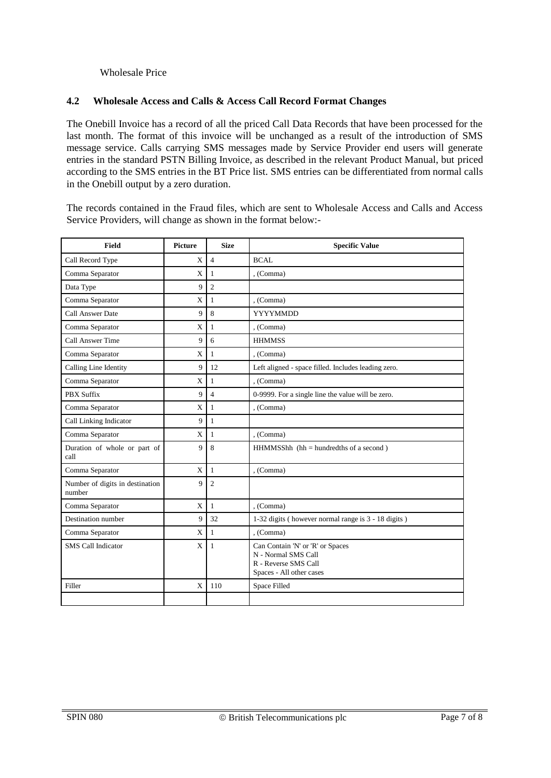#### Wholesale Price

#### **4.2 Wholesale Access and Calls & Access Call Record Format Changes**

The Onebill Invoice has a record of all the priced Call Data Records that have been processed for the last month. The format of this invoice will be unchanged as a result of the introduction of SMS message service. Calls carrying SMS messages made by Service Provider end users will generate entries in the standard PSTN Billing Invoice, as described in the relevant Product Manual, but priced according to the SMS entries in the BT Price list. SMS entries can be differentiated from normal calls in the Onebill output by a zero duration.

The records contained in the Fraud files, which are sent to Wholesale Access and Calls and Access Service Providers, will change as shown in the format below:-

| <b>Field</b>                              | Picture      | <b>Size</b>    | <b>Specific Value</b>                                                                                       |
|-------------------------------------------|--------------|----------------|-------------------------------------------------------------------------------------------------------------|
| Call Record Type                          | X            | $\overline{4}$ | <b>BCAL</b>                                                                                                 |
| Comma Separator                           | X            | $\mathbf{1}$   | . (Comma)                                                                                                   |
| Data Type                                 | 9            | 2              |                                                                                                             |
| Comma Separator                           | $\mathbf X$  | $\mathbf{1}$   | , (Comma)                                                                                                   |
| <b>Call Answer Date</b>                   | 9            | 8              | <b>YYYYMMDD</b>                                                                                             |
| Comma Separator                           | $\mathbf X$  | 1              | , (Comma)                                                                                                   |
| Call Answer Time                          | 9            | 6              | <b>HHMMSS</b>                                                                                               |
| Comma Separator                           | $\mathbf X$  | $\mathbf{1}$   | , (Comma)                                                                                                   |
| Calling Line Identity                     | 9            | 12             | Left aligned - space filled. Includes leading zero.                                                         |
| Comma Separator                           | $\mathbf X$  | $\mathbf{1}$   | , (Comma)                                                                                                   |
| PBX Suffix                                | 9            | $\overline{4}$ | 0-9999. For a single line the value will be zero.                                                           |
| Comma Separator                           | $\mathbf X$  | $\mathbf{1}$   | , (Comma)                                                                                                   |
| Call Linking Indicator                    | 9            | $\mathbf{1}$   |                                                                                                             |
| Comma Separator                           | X            | $\mathbf{1}$   | , (Comma)                                                                                                   |
| Duration of whole or part of<br>call      | 9            | 8              | $HHMMSShh$ (hh = hundredths of a second)                                                                    |
| Comma Separator                           | X            | $\mathbf{1}$   | , (Comma)                                                                                                   |
| Number of digits in destination<br>number | 9            | $\overline{2}$ |                                                                                                             |
| Comma Separator                           | $\mathbf X$  | $\mathbf{1}$   | . (Comma)                                                                                                   |
| Destination number                        | 9            | 32             | 1-32 digits (however normal range is 3 - 18 digits)                                                         |
| Comma Separator                           | X            | $\mathbf{1}$   | , (Comma)                                                                                                   |
| <b>SMS Call Indicator</b>                 | X            | 1              | Can Contain 'N' or 'R' or Spaces<br>N - Normal SMS Call<br>R - Reverse SMS Call<br>Spaces - All other cases |
| Filler                                    | $\mathbf{x}$ | 110            | Space Filled                                                                                                |
|                                           |              |                |                                                                                                             |